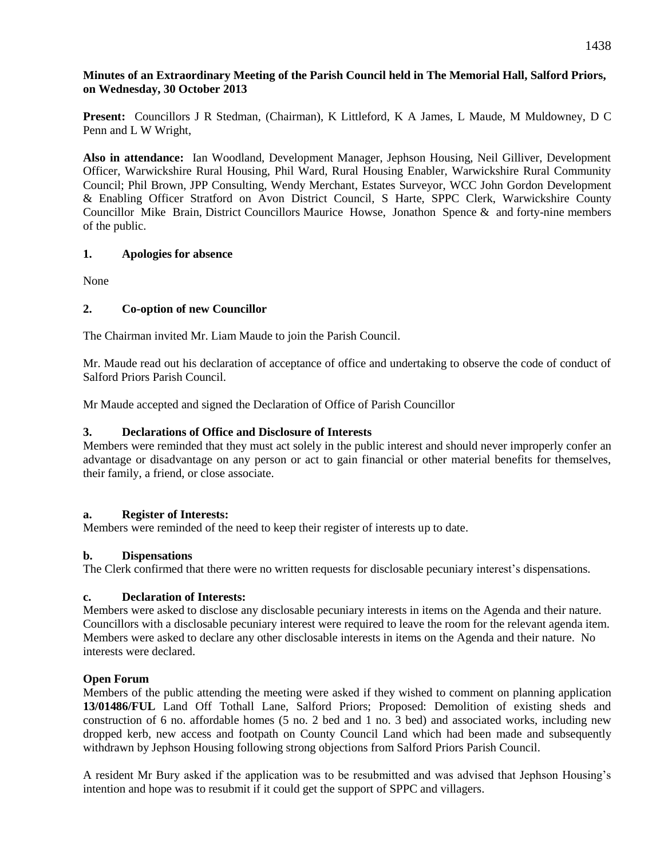## **Minutes of an Extraordinary Meeting of the Parish Council held in The Memorial Hall, Salford Priors, on Wednesday, 30 October 2013**

**Present:** Councillors J R Stedman, (Chairman), K Littleford, K A James, L Maude, M Muldowney, D C Penn and L W Wright,

**Also in attendance:** Ian Woodland, Development Manager, Jephson Housing, Neil Gilliver, Development Officer, Warwickshire Rural Housing, Phil Ward, Rural Housing Enabler, Warwickshire Rural Community Council; Phil Brown, JPP Consulting, Wendy Merchant, Estates Surveyor, WCC John Gordon Development & Enabling Officer Stratford on Avon District Council, S Harte, SPPC Clerk, Warwickshire County Councillor Mike Brain, District Councillors Maurice Howse, Jonathon Spence & and forty-nine members of the public.

## **1. Apologies for absence**

None

# **2. Co-option of new Councillor**

The Chairman invited Mr. Liam Maude to join the Parish Council.

Mr. Maude read out his declaration of acceptance of office and undertaking to observe the code of conduct of Salford Priors Parish Council.

Mr Maude accepted and signed the Declaration of Office of Parish Councillor

## **3. Declarations of Office and Disclosure of Interests**

Members were reminded that they must act solely in the public interest and should never improperly confer an advantage or disadvantage on any person or act to gain financial or other material benefits for themselves, their family, a friend, or close associate.

#### **a. Register of Interests:**

Members were reminded of the need to keep their register of interests up to date.

#### **b. Dispensations**

The Clerk confirmed that there were no written requests for disclosable pecuniary interest's dispensations.

#### **c. Declaration of Interests:**

Members were asked to disclose any disclosable pecuniary interests in items on the Agenda and their nature. Councillors with a disclosable pecuniary interest were required to leave the room for the relevant agenda item. Members were asked to declare any other disclosable interests in items on the Agenda and their nature. No interests were declared.

#### **Open Forum**

Members of the public attending the meeting were asked if they wished to comment on planning application **13/01486/FUL** Land Off Tothall Lane, Salford Priors; Proposed: Demolition of existing sheds and construction of 6 no. affordable homes (5 no. 2 bed and 1 no. 3 bed) and associated works, including new dropped kerb, new access and footpath on County Council Land which had been made and subsequently withdrawn by Jephson Housing following strong objections from Salford Priors Parish Council.

A resident Mr Bury asked if the application was to be resubmitted and was advised that Jephson Housing's intention and hope was to resubmit if it could get the support of SPPC and villagers.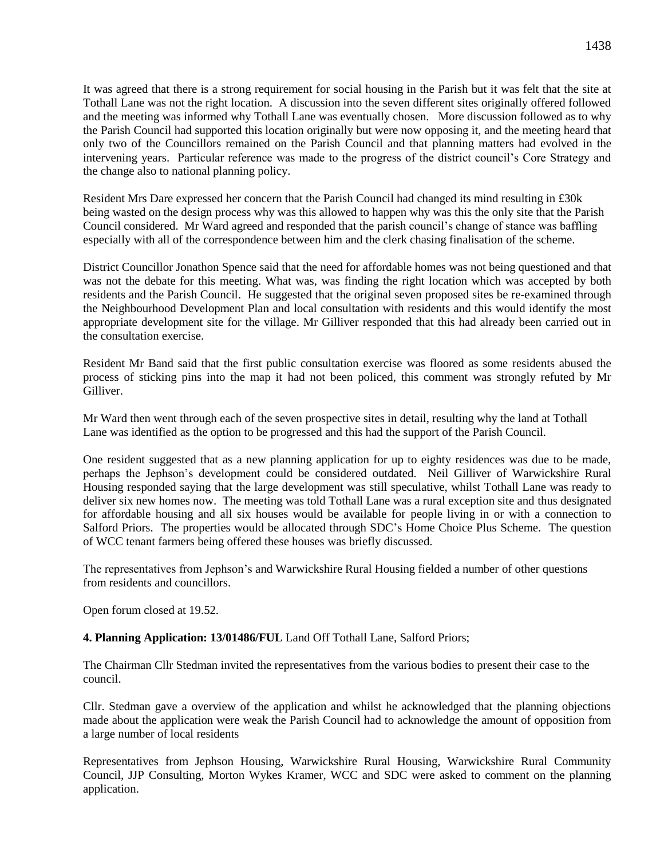It was agreed that there is a strong requirement for social housing in the Parish but it was felt that the site at Tothall Lane was not the right location. A discussion into the seven different sites originally offered followed and the meeting was informed why Tothall Lane was eventually chosen. More discussion followed as to why the Parish Council had supported this location originally but were now opposing it, and the meeting heard that only two of the Councillors remained on the Parish Council and that planning matters had evolved in the intervening years. Particular reference was made to the progress of the district council's Core Strategy and the change also to national planning policy.

Resident Mrs Dare expressed her concern that the Parish Council had changed its mind resulting in £30k being wasted on the design process why was this allowed to happen why was this the only site that the Parish Council considered. Mr Ward agreed and responded that the parish council's change of stance was baffling especially with all of the correspondence between him and the clerk chasing finalisation of the scheme.

District Councillor Jonathon Spence said that the need for affordable homes was not being questioned and that was not the debate for this meeting. What was, was finding the right location which was accepted by both residents and the Parish Council. He suggested that the original seven proposed sites be re-examined through the Neighbourhood Development Plan and local consultation with residents and this would identify the most appropriate development site for the village. Mr Gilliver responded that this had already been carried out in the consultation exercise.

Resident Mr Band said that the first public consultation exercise was floored as some residents abused the process of sticking pins into the map it had not been policed, this comment was strongly refuted by Mr Gilliver.

Mr Ward then went through each of the seven prospective sites in detail, resulting why the land at Tothall Lane was identified as the option to be progressed and this had the support of the Parish Council.

One resident suggested that as a new planning application for up to eighty residences was due to be made, perhaps the Jephson's development could be considered outdated. Neil Gilliver of Warwickshire Rural Housing responded saying that the large development was still speculative, whilst Tothall Lane was ready to deliver six new homes now. The meeting was told Tothall Lane was a rural exception site and thus designated for affordable housing and all six houses would be available for people living in or with a connection to Salford Priors. The properties would be allocated through SDC's Home Choice Plus Scheme. The question of WCC tenant farmers being offered these houses was briefly discussed.

The representatives from Jephson's and Warwickshire Rural Housing fielded a number of other questions from residents and councillors.

Open forum closed at 19.52.

#### **4. Planning Application: 13/01486/FUL** Land Off Tothall Lane, Salford Priors;

The Chairman Cllr Stedman invited the representatives from the various bodies to present their case to the council.

Cllr. Stedman gave a overview of the application and whilst he acknowledged that the planning objections made about the application were weak the Parish Council had to acknowledge the amount of opposition from a large number of local residents

Representatives from Jephson Housing, Warwickshire Rural Housing, Warwickshire Rural Community Council, JJP Consulting, Morton Wykes Kramer, WCC and SDC were asked to comment on the planning application.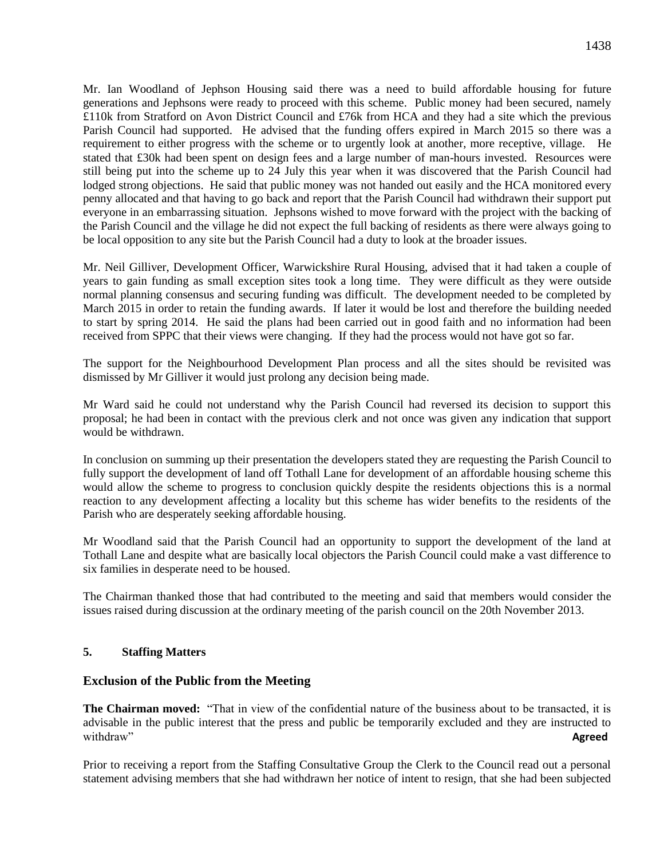Mr. Ian Woodland of Jephson Housing said there was a need to build affordable housing for future generations and Jephsons were ready to proceed with this scheme. Public money had been secured, namely £110k from Stratford on Avon District Council and £76k from HCA and they had a site which the previous Parish Council had supported. He advised that the funding offers expired in March 2015 so there was a requirement to either progress with the scheme or to urgently look at another, more receptive, village. He stated that £30k had been spent on design fees and a large number of man-hours invested. Resources were still being put into the scheme up to 24 July this year when it was discovered that the Parish Council had lodged strong objections. He said that public money was not handed out easily and the HCA monitored every penny allocated and that having to go back and report that the Parish Council had withdrawn their support put everyone in an embarrassing situation. Jephsons wished to move forward with the project with the backing of the Parish Council and the village he did not expect the full backing of residents as there were always going to be local opposition to any site but the Parish Council had a duty to look at the broader issues.

Mr. Neil Gilliver, Development Officer, Warwickshire Rural Housing, advised that it had taken a couple of years to gain funding as small exception sites took a long time. They were difficult as they were outside normal planning consensus and securing funding was difficult. The development needed to be completed by March 2015 in order to retain the funding awards. If later it would be lost and therefore the building needed to start by spring 2014. He said the plans had been carried out in good faith and no information had been received from SPPC that their views were changing. If they had the process would not have got so far.

The support for the Neighbourhood Development Plan process and all the sites should be revisited was dismissed by Mr Gilliver it would just prolong any decision being made.

Mr Ward said he could not understand why the Parish Council had reversed its decision to support this proposal; he had been in contact with the previous clerk and not once was given any indication that support would be withdrawn.

In conclusion on summing up their presentation the developers stated they are requesting the Parish Council to fully support the development of land off Tothall Lane for development of an affordable housing scheme this would allow the scheme to progress to conclusion quickly despite the residents objections this is a normal reaction to any development affecting a locality but this scheme has wider benefits to the residents of the Parish who are desperately seeking affordable housing.

Mr Woodland said that the Parish Council had an opportunity to support the development of the land at Tothall Lane and despite what are basically local objectors the Parish Council could make a vast difference to six families in desperate need to be housed.

The Chairman thanked those that had contributed to the meeting and said that members would consider the issues raised during discussion at the ordinary meeting of the parish council on the 20th November 2013.

#### **5. Staffing Matters**

#### **Exclusion of the Public from the Meeting**

**The Chairman moved:** "That in view of the confidential nature of the business about to be transacted, it is advisable in the public interest that the press and public be temporarily excluded and they are instructed to withdraw" **Agreed**

Prior to receiving a report from the Staffing Consultative Group the Clerk to the Council read out a personal statement advising members that she had withdrawn her notice of intent to resign, that she had been subjected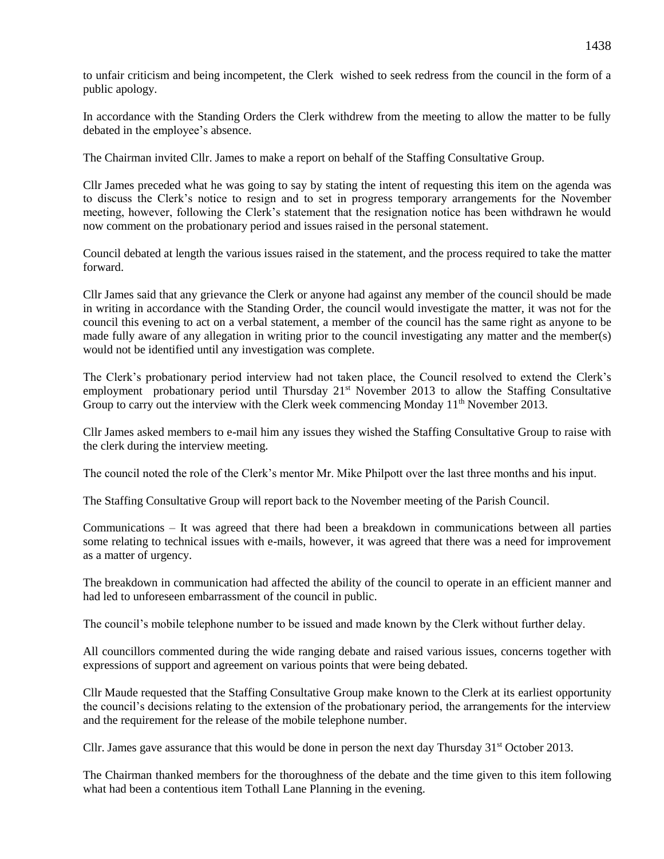to unfair criticism and being incompetent, the Clerk wished to seek redress from the council in the form of a public apology.

In accordance with the Standing Orders the Clerk withdrew from the meeting to allow the matter to be fully debated in the employee's absence.

The Chairman invited Cllr. James to make a report on behalf of the Staffing Consultative Group.

Cllr James preceded what he was going to say by stating the intent of requesting this item on the agenda was to discuss the Clerk's notice to resign and to set in progress temporary arrangements for the November meeting, however, following the Clerk's statement that the resignation notice has been withdrawn he would now comment on the probationary period and issues raised in the personal statement.

Council debated at length the various issues raised in the statement, and the process required to take the matter forward.

Cllr James said that any grievance the Clerk or anyone had against any member of the council should be made in writing in accordance with the Standing Order, the council would investigate the matter, it was not for the council this evening to act on a verbal statement, a member of the council has the same right as anyone to be made fully aware of any allegation in writing prior to the council investigating any matter and the member(s) would not be identified until any investigation was complete.

The Clerk's probationary period interview had not taken place, the Council resolved to extend the Clerk's employment probationary period until Thursday 21<sup>st</sup> November 2013 to allow the Staffing Consultative Group to carry out the interview with the Clerk week commencing Monday  $11<sup>th</sup>$  November 2013.

Cllr James asked members to e-mail him any issues they wished the Staffing Consultative Group to raise with the clerk during the interview meeting.

The council noted the role of the Clerk's mentor Mr. Mike Philpott over the last three months and his input.

The Staffing Consultative Group will report back to the November meeting of the Parish Council.

Communications – It was agreed that there had been a breakdown in communications between all parties some relating to technical issues with e-mails, however, it was agreed that there was a need for improvement as a matter of urgency.

The breakdown in communication had affected the ability of the council to operate in an efficient manner and had led to unforeseen embarrassment of the council in public.

The council's mobile telephone number to be issued and made known by the Clerk without further delay.

All councillors commented during the wide ranging debate and raised various issues, concerns together with expressions of support and agreement on various points that were being debated.

Cllr Maude requested that the Staffing Consultative Group make known to the Clerk at its earliest opportunity the council's decisions relating to the extension of the probationary period, the arrangements for the interview and the requirement for the release of the mobile telephone number.

Cllr. James gave assurance that this would be done in person the next day Thursday  $31<sup>st</sup>$  October 2013.

The Chairman thanked members for the thoroughness of the debate and the time given to this item following what had been a contentious item Tothall Lane Planning in the evening.